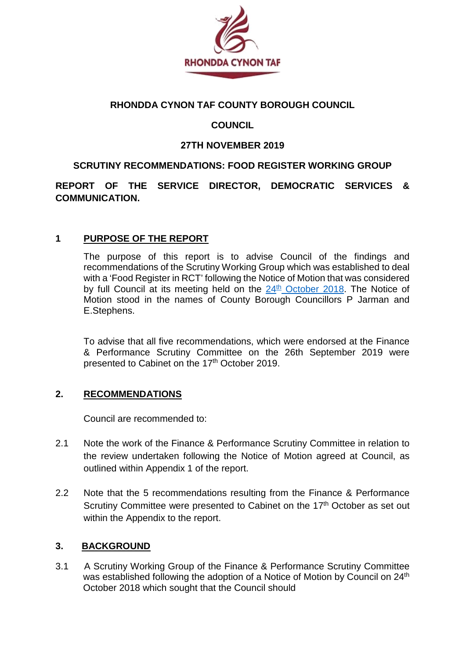

#### **RHONDDA CYNON TAF COUNTY BOROUGH COUNCIL**

## **COUNCIL**

#### **27TH NOVEMBER 2019**

#### **SCRUTINY RECOMMENDATIONS: FOOD REGISTER WORKING GROUP**

### **REPORT OF THE SERVICE DIRECTOR, DEMOCRATIC SERVICES & COMMUNICATION.**

### **1 PURPOSE OF THE REPORT**

The purpose of this report is to advise Council of the findings and recommendations of the Scrutiny Working Group which was established to deal with a 'Food Register in RCT' following the Notice of Motion that was considered by full Council at its meeting held on the  $24<sup>th</sup>$  [October 2018.](https://www.rctcbc.gov.uk/EN/Council/CouncillorsCommitteesandMeetings/Meetings/Council/2018/10/24/Minutes/Minutes24.10.18.pdf) The Notice of Motion stood in the names of County Borough Councillors P Jarman and E.Stephens.

To advise that all five recommendations, which were endorsed at the Finance & Performance Scrutiny Committee on the 26th September 2019 were presented to Cabinet on the 17<sup>th</sup> October 2019.

#### **2. RECOMMENDATIONS**

Council are recommended to:

- 2.1 Note the work of the Finance & Performance Scrutiny Committee in relation to the review undertaken following the Notice of Motion agreed at Council, as outlined within Appendix 1 of the report.
- 2.2 Note that the 5 recommendations resulting from the Finance & Performance Scrutiny Committee were presented to Cabinet on the 17<sup>th</sup> October as set out within the Appendix to the report.

#### **3. BACKGROUND**

3.1 A Scrutiny Working Group of the Finance & Performance Scrutiny Committee was established following the adoption of a Notice of Motion by Council on 24<sup>th</sup> October 2018 which sought that the Council should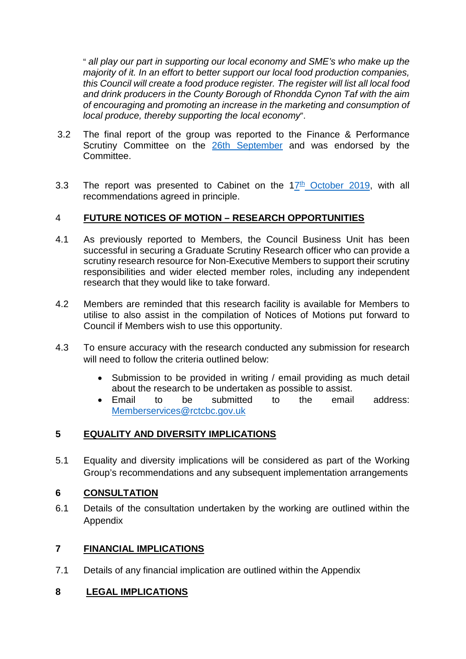" *all play our part in supporting our local economy and SME's who make up the majority of it. In an effort to better support our local food production companies, this Council will create a food produce register. The register will list all local food and drink producers in the County Borough of Rhondda Cynon Taf with the aim of encouraging and promoting an increase in the marketing and consumption of local produce, thereby supporting the local economy*".

- 3.2 The final report of the group was reported to the Finance & Performance Scrutiny Committee on the 26th [September](https://www.rctcbc.gov.uk/EN/Council/CouncillorsCommitteesandMeetings/Meetings/FinanceandPerformanceScrutinyCommittee/2019/09/26/Reports/Item5FoodRegisterWorkingGroupReport.pdf) and was endorsed by the **Committee.**
- 3.3 The report was presented to Cabinet on the  $17<sup>th</sup>$  [October 2019,](https://www.rctcbc.gov.uk/EN/Council/CouncillorsCommitteesandMeetings/Meetings/Cabinet/2019/10/17/Reports/Item14RecommendationsOfTheFoodRegisterScrutinyWorkingGroup.pdf) with all recommendations agreed in principle.

### 4 **FUTURE NOTICES OF MOTION – RESEARCH OPPORTUNITIES**

- 4.1 As previously reported to Members, the Council Business Unit has been successful in securing a Graduate Scrutiny Research officer who can provide a scrutiny research resource for Non-Executive Members to support their scrutiny responsibilities and wider elected member roles, including any independent research that they would like to take forward.
- 4.2 Members are reminded that this research facility is available for Members to utilise to also assist in the compilation of Notices of Motions put forward to Council if Members wish to use this opportunity.
- 4.3 To ensure accuracy with the research conducted any submission for research will need to follow the criteria outlined below:
	- Submission to be provided in writing / email providing as much detail about the research to be undertaken as possible to assist.
	- Email to be submitted to the email address: [Memberservices@rctcbc.gov.uk](mailto:Memberservices@rctcbc.gov.uk)

### **5 EQUALITY AND DIVERSITY IMPLICATIONS**

5.1 Equality and diversity implications will be considered as part of the Working Group's recommendations and any subsequent implementation arrangements

### **6 CONSULTATION**

6.1 Details of the consultation undertaken by the working are outlined within the Appendix

# **7 FINANCIAL IMPLICATIONS**

7.1 Details of any financial implication are outlined within the Appendix

### **8 LEGAL IMPLICATIONS**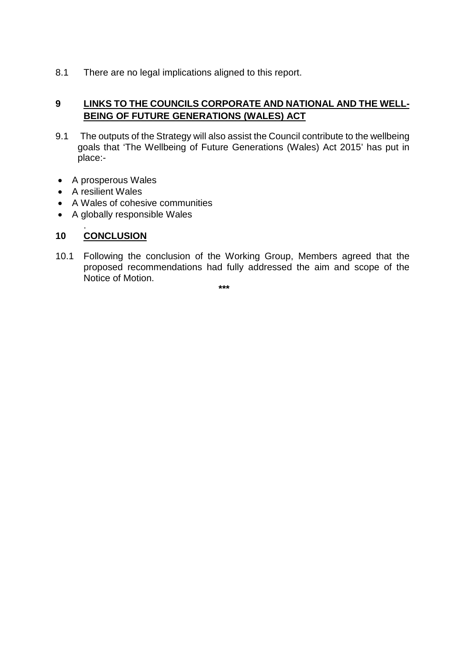8.1 There are no legal implications aligned to this report.

## **9 LINKS TO THE COUNCILS CORPORATE AND NATIONAL AND THE WELL-BEING OF FUTURE GENERATIONS (WALES) ACT**

- 9.1 The outputs of the Strategy will also assist the Council contribute to the wellbeing goals that 'The Wellbeing of Future Generations (Wales) Act 2015' has put in place:-
- A prosperous Wales
- A resilient Wales
- A Wales of cohesive communities
- A globally responsible Wales

#### . **10 CONCLUSION**

10.1 Following the conclusion of the Working Group, Members agreed that the proposed recommendations had fully addressed the aim and scope of the Notice of Motion.

**\*\*\***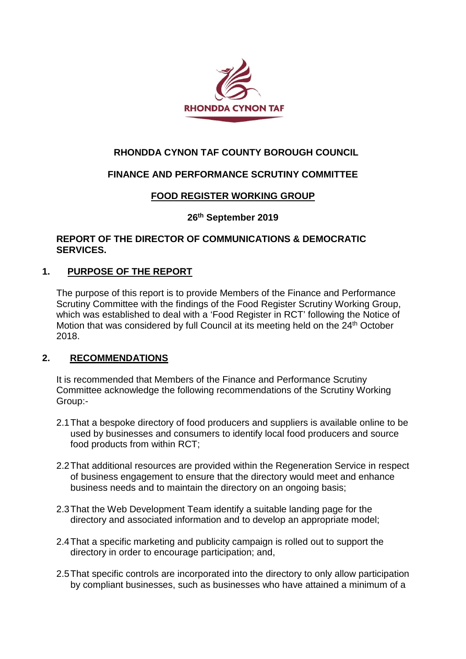

# **RHONDDA CYNON TAF COUNTY BOROUGH COUNCIL**

### **FINANCE AND PERFORMANCE SCRUTINY COMMITTEE**

### **FOOD REGISTER WORKING GROUP**

#### **26th September 2019**

#### **REPORT OF THE DIRECTOR OF COMMUNICATIONS & DEMOCRATIC SERVICES.**

#### **1. PURPOSE OF THE REPORT**

The purpose of this report is to provide Members of the Finance and Performance Scrutiny Committee with the findings of the Food Register Scrutiny Working Group, which was established to deal with a 'Food Register in RCT' following the Notice of Motion that was considered by full Council at its meeting held on the 24<sup>th</sup> October 2018.

#### **2. RECOMMENDATIONS**

It is recommended that Members of the Finance and Performance Scrutiny Committee acknowledge the following recommendations of the Scrutiny Working Group:-

- 2.1That a bespoke directory of food producers and suppliers is available online to be used by businesses and consumers to identify local food producers and source food products from within RCT;
- 2.2That additional resources are provided within the Regeneration Service in respect of business engagement to ensure that the directory would meet and enhance business needs and to maintain the directory on an ongoing basis;
- 2.3That the Web Development Team identify a suitable landing page for the directory and associated information and to develop an appropriate model;
- 2.4That a specific marketing and publicity campaign is rolled out to support the directory in order to encourage participation; and,
- 2.5That specific controls are incorporated into the directory to only allow participation by compliant businesses, such as businesses who have attained a minimum of a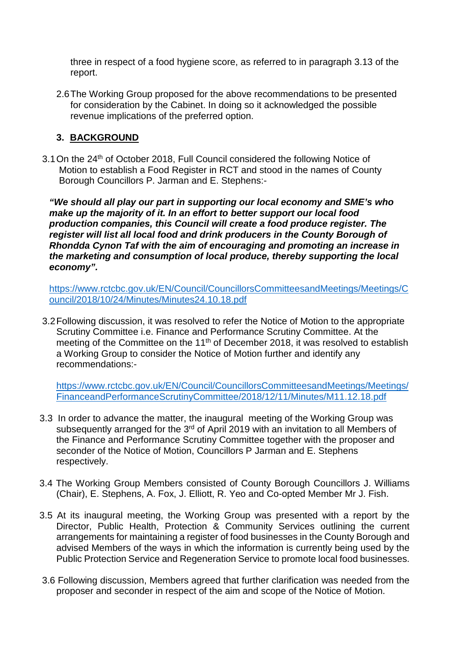three in respect of a food hygiene score, as referred to in paragraph 3.13 of the report.

2.6The Working Group proposed for the above recommendations to be presented for consideration by the Cabinet. In doing so it acknowledged the possible revenue implications of the preferred option.

#### **3. BACKGROUND**

3.1 On the 24<sup>th</sup> of October 2018, Full Council considered the following Notice of Motion to establish a Food Register in RCT and stood in the names of County Borough Councillors P. Jarman and E. Stephens:-

*"We should all play our part in supporting our local economy and SME's who make up the majority of it. In an effort to better support our local food production companies, this Council will create a food produce register. The register will list all local food and drink producers in the County Borough of Rhondda Cynon Taf with the aim of encouraging and promoting an increase in the marketing and consumption of local produce, thereby supporting the local economy".* 

[https://www.rctcbc.gov.uk/EN/Council/CouncillorsCommitteesandMeetings/Meetings/C](https://www.rctcbc.gov.uk/EN/Council/CouncillorsCommitteesandMeetings/Meetings/Council/2018/10/24/Minutes/Minutes24.10.18.pdf) [ouncil/2018/10/24/Minutes/Minutes24.10.18.pdf](https://www.rctcbc.gov.uk/EN/Council/CouncillorsCommitteesandMeetings/Meetings/Council/2018/10/24/Minutes/Minutes24.10.18.pdf)

3.2Following discussion, it was resolved to refer the Notice of Motion to the appropriate Scrutiny Committee i.e. Finance and Performance Scrutiny Committee. At the meeting of the Committee on the 11<sup>th</sup> of December 2018, it was resolved to establish a Working Group to consider the Notice of Motion further and identify any recommendations:-

[https://www.rctcbc.gov.uk/EN/Council/CouncillorsCommitteesandMeetings/Meetings/](https://www.rctcbc.gov.uk/EN/Council/CouncillorsCommitteesandMeetings/Meetings/FinanceandPerformanceScrutinyCommittee/2018/12/11/Minutes/M11.12.18.pdf) [FinanceandPerformanceScrutinyCommittee/2018/12/11/Minutes/M11.12.18.pdf](https://www.rctcbc.gov.uk/EN/Council/CouncillorsCommitteesandMeetings/Meetings/FinanceandPerformanceScrutinyCommittee/2018/12/11/Minutes/M11.12.18.pdf)

- 3.3 In order to advance the matter, the inaugural meeting of the Working Group was subsequently arranged for the 3<sup>rd</sup> of April 2019 with an invitation to all Members of the Finance and Performance Scrutiny Committee together with the proposer and seconder of the Notice of Motion, Councillors P Jarman and E. Stephens respectively.
- 3.4 The Working Group Members consisted of County Borough Councillors J. Williams (Chair), E. Stephens, A. Fox, J. Elliott, R. Yeo and Co-opted Member Mr J. Fish.
- 3.5 At its inaugural meeting, the Working Group was presented with a report by the Director, Public Health, Protection & Community Services outlining the current arrangements for maintaining a register of food businesses in the County Borough and advised Members of the ways in which the information is currently being used by the Public Protection Service and Regeneration Service to promote local food businesses.
- 3.6 Following discussion, Members agreed that further clarification was needed from the proposer and seconder in respect of the aim and scope of the Notice of Motion.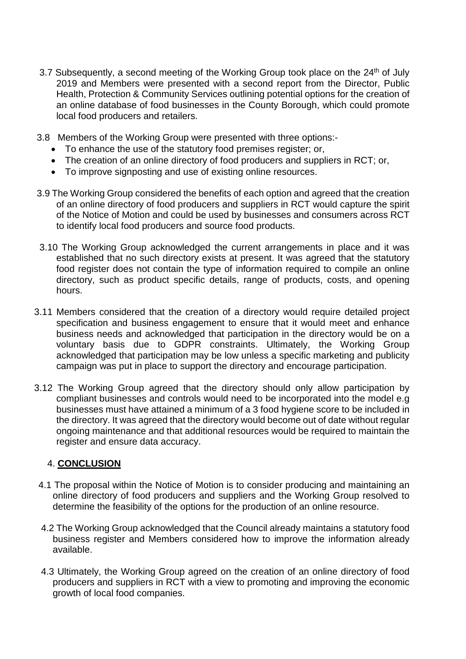- 3.7 Subsequently, a second meeting of the Working Group took place on the 24<sup>th</sup> of July 2019 and Members were presented with a second report from the Director, Public Health, Protection & Community Services outlining potential options for the creation of an online database of food businesses in the County Borough, which could promote local food producers and retailers.
- 3.8 Members of the Working Group were presented with three options:-
	- To enhance the use of the statutory food premises register; or,
	- The creation of an online directory of food producers and suppliers in RCT; or,
	- To improve signposting and use of existing online resources.
- 3.9 The Working Group considered the benefits of each option and agreed that the creation of an online directory of food producers and suppliers in RCT would capture the spirit of the Notice of Motion and could be used by businesses and consumers across RCT to identify local food producers and source food products.
- 3.10 The Working Group acknowledged the current arrangements in place and it was established that no such directory exists at present. It was agreed that the statutory food register does not contain the type of information required to compile an online directory, such as product specific details, range of products, costs, and opening hours.
- 3.11 Members considered that the creation of a directory would require detailed project specification and business engagement to ensure that it would meet and enhance business needs and acknowledged that participation in the directory would be on a voluntary basis due to GDPR constraints. Ultimately, the Working Group acknowledged that participation may be low unless a specific marketing and publicity campaign was put in place to support the directory and encourage participation.
- 3.12 The Working Group agreed that the directory should only allow participation by compliant businesses and controls would need to be incorporated into the model e.g businesses must have attained a minimum of a 3 food hygiene score to be included in the directory. It was agreed that the directory would become out of date without regular ongoing maintenance and that additional resources would be required to maintain the register and ensure data accuracy.

### 4. **CONCLUSION**

- 4.1 The proposal within the Notice of Motion is to consider producing and maintaining an online directory of food producers and suppliers and the Working Group resolved to determine the feasibility of the options for the production of an online resource.
- 4.2 The Working Group acknowledged that the Council already maintains a statutory food business register and Members considered how to improve the information already available.
- 4.3 Ultimately, the Working Group agreed on the creation of an online directory of food producers and suppliers in RCT with a view to promoting and improving the economic growth of local food companies.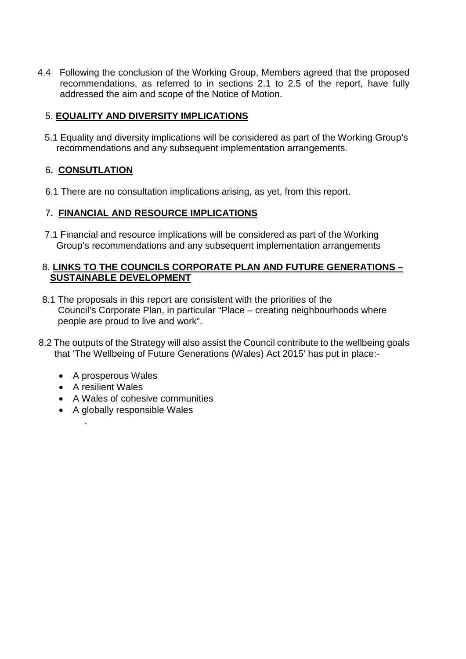4.4 Following the conclusion of the Working Group, Members agreed that the proposed recommendations, as referred to in sections 2.1 to 2.5 of the report, have fully addressed the aim and scope of the Notice of Motion.

# 5. **EQUALITY AND DIVERSITY IMPLICATIONS**

 5.1 Equality and diversity implications will be considered as part of the Working Group's recommendations and any subsequent implementation arrangements.

# 6**. CONSUTLATION**

6.1 There are no consultation implications arising, as yet, from this report.

### 7**. FINANCIAL AND RESOURCE IMPLICATIONS**

 7.1 Financial and resource implications will be considered as part of the Working Group's recommendations and any subsequent implementation arrangements

#### 8. **LINKS TO THE COUNCILS CORPORATE PLAN AND FUTURE GENERATIONS – SUSTAINABLE DEVELOPMENT**

- 8.1 The proposals in this report are consistent with the priorities of the Council's Corporate Plan, in particular "Place – creating neighbourhoods where people are proud to live and work".
- 8.2 The outputs of the Strategy will also assist the Council contribute to the wellbeing goals that 'The Wellbeing of Future Generations (Wales) Act 2015' has put in place:-
	- A prosperous Wales
	- A resilient Wales

.

- A Wales of cohesive communities
- A globally responsible Wales